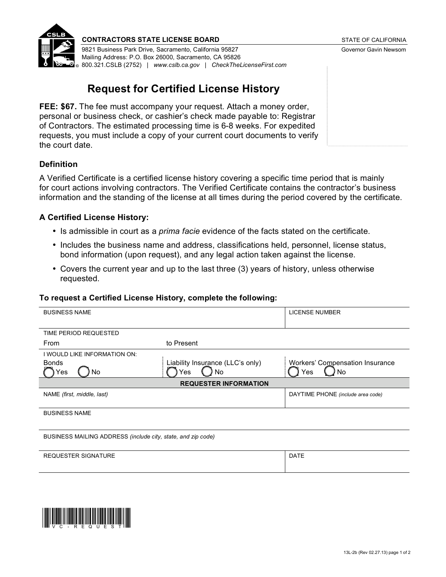

#### **CONTRACTORS STATE LICENSE BOARD STATE OF CALIFORNIA**

9821 Business Park Drive, Sacramento, California 95827 Governor Gavin Newsom Mailing Address: P.O. Box 26000, Sacramento, CA 95826 800.321.CSLB (2752) | *[www.cslb.ca.gov](http://www.cslb.ca.gov) | [CheckTheLicenseFirst.com](http://CheckTheLicenseFirst.com)*

# **Request for Certified License History**

**FEE: \$67.** The fee must accompany your request. Attach a money order, personal or business check, or cashier's check made payable to: Registrar of Contractors. The estimated processing time is 6-8 weeks. For expedited requests, you must include a copy of your current court documents to verify the court date.

# **Definition**

A Verified Certificate is a certified license history covering a specific time period that is mainly for court actions involving contractors. The Verified Certificate contains the contractor's business information and the standing of the license at all times during the period covered by the certificate.

## **A Certified License History:**

- Is admissible in court as a *prima facie* evidence of the facts stated on the certificate.
- Includes the business name and address, classifications held, personnel, license status, bond information (upon request), and any legal action taken against the license.
- Covers the current year and up to the last three (3) years of history, unless otherwise requested.

#### **To request a Certified License History, complete the following:**

| <b>BUSINESS NAME</b>                                         |                                  | <b>LICENSE NUMBER</b>                  |
|--------------------------------------------------------------|----------------------------------|----------------------------------------|
|                                                              |                                  |                                        |
| TIME PERIOD REQUESTED                                        |                                  |                                        |
| From                                                         | to Present                       |                                        |
| I WOULD LIKE INFORMATION ON:                                 |                                  |                                        |
| <b>Bonds</b>                                                 | Liability Insurance (LLC's only) | <b>Workers' Compensation Insurance</b> |
| Yes<br>No.                                                   | No<br>Yes                        | Yes<br>) No                            |
| <b>REQUESTER INFORMATION</b>                                 |                                  |                                        |
| NAME (first, middle, last)                                   |                                  | DAYTIME PHONE (include area code)      |
|                                                              |                                  |                                        |
| <b>BUSINESS NAME</b>                                         |                                  |                                        |
|                                                              |                                  |                                        |
| BUSINESS MAILING ADDRESS (include city, state, and zip code) |                                  |                                        |
|                                                              |                                  |                                        |
| <b>REQUESTER SIGNATURE</b>                                   |                                  | <b>DATE</b>                            |
|                                                              |                                  |                                        |
|                                                              |                                  |                                        |
|                                                              |                                  |                                        |